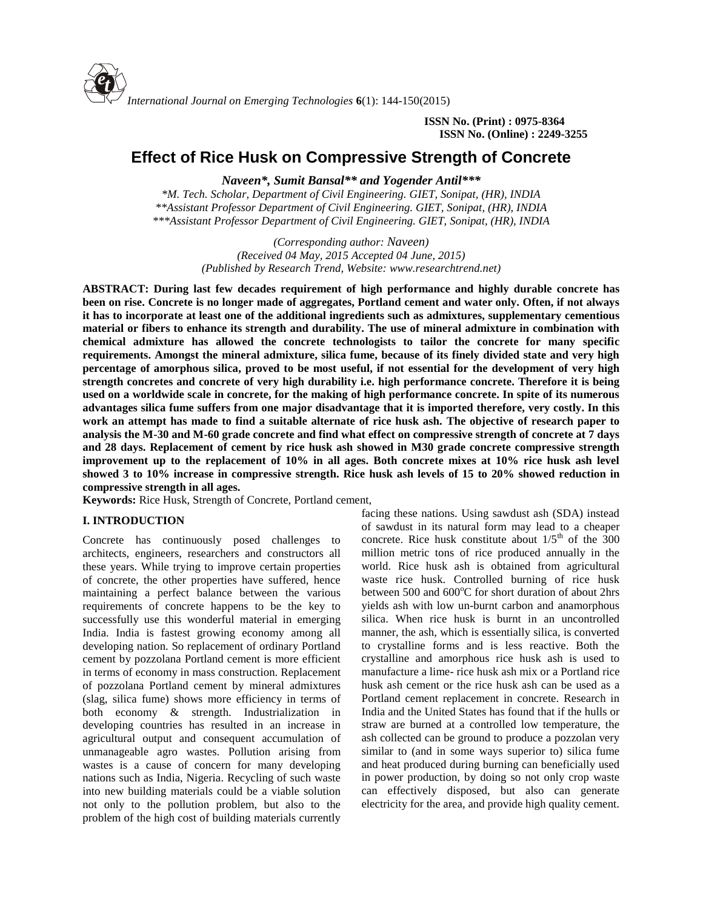**ISSN No. (Print) : 0975-8364 ISSN No. (Online) : 2249-3255**

# **Effect of Rice Husk on Compressive Strength of Concrete**

*Naveen\*, Sumit Bansal\*\* and Yogender Antil\*\*\**

*\*M. Tech. Scholar, Department of Civil Engineering. GIET, Sonipat, (HR), INDIA \*\*Assistant Professor Department of Civil Engineering. GIET, Sonipat, (HR), INDIA \*\*\*Assistant Professor Department of Civil Engineering. GIET, Sonipat, (HR), INDIA*

> *(Corresponding author: Naveen) (Received 04 May, 2015 Accepted 04 June, 2015) (Published by Research Trend, Website: [www.researchtrend.net\)](www.researchtrend.net)*

**ABSTRACT: During last few decades requirement of high performance and highly durable concrete has been on rise. Concrete is no longer made of aggregates, Portland cement and water only. Often, if not always it has to incorporate at least one of the additional ingredients such as admixtures, supplementary cementious material or fibers to enhance its strength and durability. The use of mineral admixture in combination with chemical admixture has allowed the concrete technologists to tailor the concrete for many specific requirements. Amongst the mineral admixture, silica fume, because of its finely divided state and very high percentage of amorphous silica, proved to be most useful, if not essential for the development of very high strength concretes and concrete of very high durability i.e. high performance concrete. Therefore it is being used on a worldwide scale in concrete, for the making of high performance concrete. In spite of its numerous advantages silica fume suffers from one major disadvantage that it is imported therefore, very costly. In this work an attempt has made to find a suitable alternate of rice husk ash. The objective of research paper to analysis the M-30 and M-60 grade concrete and find what effect on compressive strength of concrete at 7 days and 28 days. Replacement of cement by rice husk ash showed in M30 grade concrete compressive strength improvement up to the replacement of 10% in all ages. Both concrete mixes at 10% rice husk ash level showed 3 to 10% increase in compressive strength. Rice husk ash levels of 15 to 20% showed reduction in compressive strength in all ages.**

**Keywords:** Rice Husk, Strength of Concrete, Portland cement,

# **I. INTRODUCTION**

Concrete has continuously posed challenges to architects, engineers, researchers and constructors all these years. While trying to improve certain properties of concrete, the other properties have suffered, hence maintaining a perfect balance between the various requirements of concrete happens to be the key to successfully use this wonderful material in emerging India. India is fastest growing economy among all developing nation. So replacement of ordinary Portland cement by pozzolana Portland cement is more efficient in terms of economy in mass construction. Replacement of pozzolana Portland cement by mineral admixtures (slag, silica fume) shows more efficiency in terms of both economy & strength. Industrialization in developing countries has resulted in an increase in agricultural output and consequent accumulation of unmanageable agro wastes. Pollution arising from wastes is a cause of concern for many developing nations such as India, Nigeria. Recycling of such waste into new building materials could be a viable solution not only to the pollution problem, but also to the problem of the high cost of building materials currently

facing these nations. Using sawdust ash (SDA) instead of sawdust in its natural form may lead to a cheaper concrete. Rice husk constitute about  $1/5<sup>th</sup>$  of the 300 million metric tons of rice produced annually in the world. Rice husk ash is obtained from agricultural waste rice husk. Controlled burning of rice husk between 500 and  $600^{\circ}$ C for short duration of about 2hrs yields ash with low un-burnt carbon and anamorphous silica. When rice husk is burnt in an uncontrolled manner, the ash, which is essentially silica, is converted to crystalline forms and is less reactive. Both the crystalline and amorphous rice husk ash is used to manufacture a lime- rice husk ash mix or a Portland rice husk ash cement or the rice husk ash can be used as a Portland cement replacement in concrete. Research in India and the United States has found that if the hulls or straw are burned at a controlled low temperature, the ash collected can be ground to produce a pozzolan very similar to (and in some ways superior to) silica fume and heat produced during burning can beneficially used in power production, by doing so not only crop waste can effectively disposed, but also can generate electricity for the area, and provide high quality cement.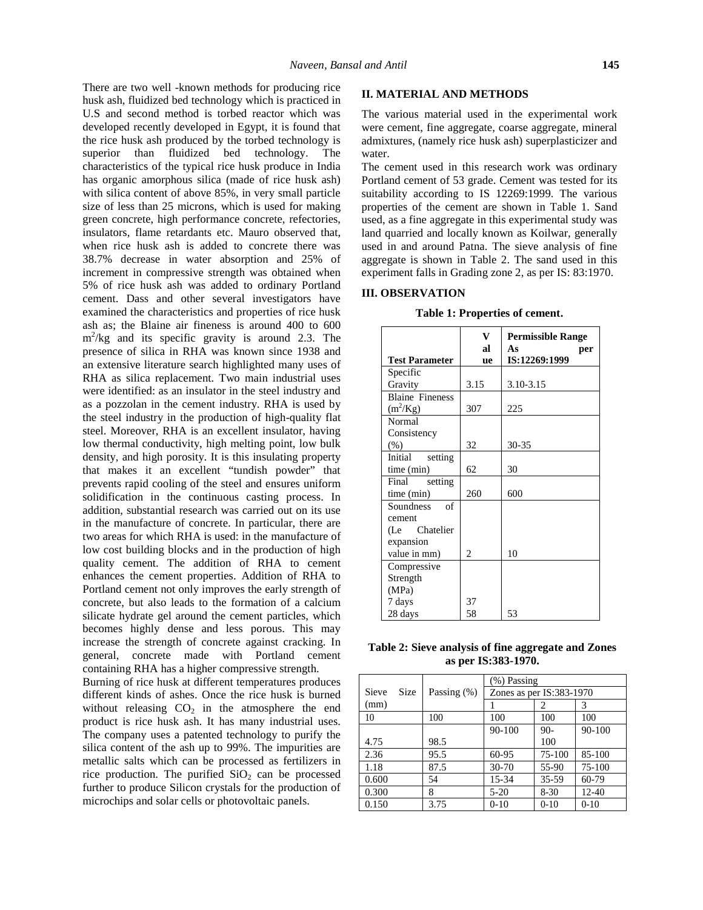There are two well -known methods for producing rice husk ash, fluidized bed technology which is practiced in U.S and second method is torbed reactor which was developed recently developed in Egypt, it is found that the rice husk ash produced by the torbed technology is superior than fluidized bed technology. The characteristics of the typical rice husk produce in India has organic amorphous silica (made of rice husk ash) with silica content of above 85%, in very small particle size of less than 25 microns, which is used for making green concrete, high performance concrete, refectories, insulators, flame retardants etc. Mauro observed that, when rice husk ash is added to concrete there was 38.7% decrease in water absorption and 25% of increment in compressive strength was obtained when 5% of rice husk ash was added to ordinary Portland cement. Dass and other several investigators have examined the characteristics and properties of rice husk ash as; the Blaine air fineness is around 400 to 600 m 2 /kg and its specific gravity is around 2.3. The presence of silica in RHA was known since 1938 and an extensive literature search highlighted many uses of RHA as silica replacement. Two main industrial uses were identified: as an insulator in the steel industry and as a pozzolan in the cement industry. RHA is used by the steel industry in the production of high-quality flat steel. Moreover, RHA is an excellent insulator, having low thermal conductivity, high melting point, low bulk density, and high porosity. It is this insulating property that makes it an excellent "tundish powder" that prevents rapid cooling of the steel and ensures uniform solidification in the continuous casting process. In addition, substantial research was carried out on its use in the manufacture of concrete. In particular, there are two areas for which RHA is used: in the manufacture of low cost building blocks and in the production of high quality cement. The addition of RHA to cement enhances the cement properties. Addition of RHA to Portland cement not only improves the early strength of concrete, but also leads to the formation of a calcium silicate hydrate gel around the cement particles, which becomes highly dense and less porous. This may increase the strength of concrete against cracking. In general, concrete made with Portland cement containing RHA has a higher compressive strength.

Burning of rice husk at different temperatures produces different kinds of ashes. Once the rice husk is burned without releasing  $CO<sub>2</sub>$  in the atmosphere the end product is rice husk ash. It has many industrial uses. The company uses a patented technology to purify the silica content of the ash up to 99%. The impurities are metallic salts which can be processed as fertilizers in rice production. The purified  $SiO<sub>2</sub>$  can be processed further to produce Silicon crystals for the production of microchips and solar cells or photovoltaic panels.

## **II. MATERIAL AND METHODS**

The various material used in the experimental work were cement, fine aggregate, coarse aggregate, mineral admixtures, (namely rice husk ash) superplasticizer and water.

The cement used in this research work was ordinary Portland cement of 53 grade. Cement was tested for its suitability according to IS 12269:1999. The various properties of the cement are shown in Table 1. Sand used, as a fine aggregate in this experimental study was land quarried and locally known as Koilwar, generally used in and around Patna. The sieve analysis of fine aggregate is shown in Table 2. The sand used in this experiment falls in Grading zone 2, as per IS: 83:1970.

#### **III. OBSERVATION**

|                        | V<br>al        | <b>Permissible Range</b><br>As<br>per |
|------------------------|----------------|---------------------------------------|
| <b>Test Parameter</b>  | ue             | IS:12269:1999                         |
| Specific               |                |                                       |
| Gravity                | 3.15           | 3.10-3.15                             |
| <b>Blaine Fineness</b> |                |                                       |
| $(m^2/Kg)$             | 307            | 225                                   |
| Normal                 |                |                                       |
| Consistency            |                |                                       |
| $(\%)$                 | 32             | 30-35                                 |
| Initial<br>setting     |                |                                       |
| time (min)             | 62             | 30                                    |
| Final<br>setting       |                |                                       |
| time (min)             | 260            | 600                                   |
| of<br>Soundness        |                |                                       |
| cement                 |                |                                       |
| (Le Chatelier          |                |                                       |
| expansion              |                |                                       |
| value in mm)           | $\overline{c}$ | 10                                    |
| Compressive            |                |                                       |
| Strength               |                |                                       |
| (MPa)                  |                |                                       |
| 7 days                 | 37             |                                       |
| 28 days                | 58             | 53                                    |

**Table 1: Properties of cement.**

**Table 2: Sieve analysis of fine aggregate and Zones as per IS:383-1970.**

|              |             |                | $(\%)$ Passing             |           |            |
|--------------|-------------|----------------|----------------------------|-----------|------------|
| <b>Sieve</b> | <b>Size</b> | Passing $(\%)$ | Zones as per $IS:383-1970$ |           |            |
| (mm)         |             |                |                            | 2         | 3          |
| 10           |             | 100            | 100                        | 100       | 100        |
|              |             |                | 90-100                     | $90-$     | $90 - 100$ |
| 4.75         |             | 98.5           |                            | 100       |            |
| 2.36         |             | 95.5           | 60-95                      | 75-100    | 85-100     |
| 1.18         |             | 87.5           | $30 - 70$                  | 55-90     | 75-100     |
| 0.600        |             | 54             | 15-34                      | $35 - 59$ | 60-79      |
| 0.300        |             | 8              | $5-20$                     | $8-30$    | $12 - 40$  |
| 0.150        |             | 3.75           | $0-10$                     | $0-10$    | $0-10$     |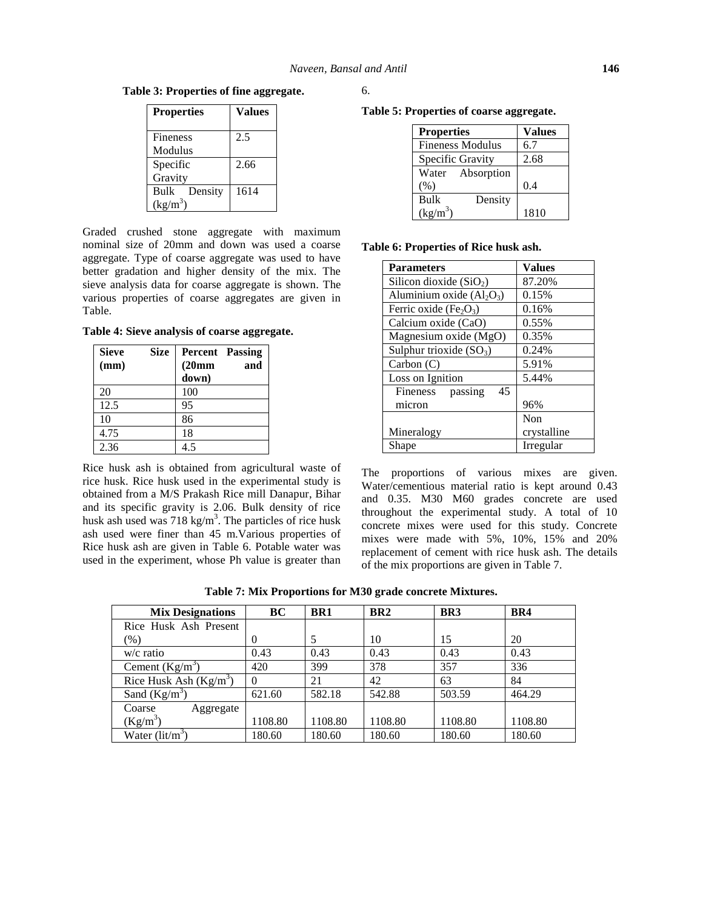**Table 3: Properties of fine aggregate.**

| <b>Properties</b>          | <b>Values</b> |  |
|----------------------------|---------------|--|
|                            | 2.5           |  |
| <b>Fineness</b><br>Modulus |               |  |
| Specific                   | 2.66          |  |
| Gravity                    |               |  |
| Density<br>Bulk            | 1614          |  |
| $(kg/m^3)$                 |               |  |

Graded crushed stone aggregate with maximum nominal size of 20mm and down was used a coarse aggregate. Type of coarse aggregate was used to have better gradation and higher density of the mix. The sieve analysis data for coarse aggregate is shown. The various properties of coarse aggregates are given in Table.

**Table 4: Sieve analysis of coarse aggregate.**

| <b>Sieve</b><br>(mm) | <b>Size</b> | <b>Percent</b> Passing<br>(20mm)<br>down) | and |
|----------------------|-------------|-------------------------------------------|-----|
| 20                   |             | 100                                       |     |
| 12.5                 |             | 95                                        |     |
| 10                   |             | 86                                        |     |
| 4.75                 |             | 18                                        |     |
| 2.36                 |             |                                           |     |

Rice husk ash is obtained from agricultural waste of rice husk. Rice husk used in the experimental study is obtained from a M/S Prakash Rice mill Danapur, Bihar and its specific gravity is 2.06. Bulk density of rice husk ash used was  $718 \text{ kg/m}^3$ . The particles of rice husk conc ash used were finer than 45 m.Various properties of Rice husk ash are given in Table 6. Potable water was used in the experiment, whose Ph value is greater than

6.

**Table 5: Properties of coarse aggregate.**

| <b>Properties</b>       | <b>Values</b> |
|-------------------------|---------------|
| <b>Fineness Modulus</b> | 6.7           |
| Specific Gravity        | 2.68          |
| Water Absorption        |               |
| (% )                    | 0.4           |
| Bulk<br>Density         |               |
| $(kg/m^3)$              | 1810          |

#### **Table 6: Properties of Rice husk ash.**

| <b>Parameters</b>         | <b>Values</b> |
|---------------------------|---------------|
| Silicon dioxide $(SiO2)$  | 87.20%        |
| Aluminium oxide $(Al2O3)$ | 0.15%         |
| Ferric oxide $(Fe2O3)$    | 0.16%         |
| Calcium oxide (CaO)       | 0.55%         |
| Magnesium oxide (MgO)     | 0.35%         |
| Sulphur trioxide $(SO_3)$ | 0.24%         |
| Carbon (C)                | 5.91%         |
| Loss on Ignition          | 5.44%         |
| passing<br>Fineness<br>45 |               |
| micron                    | 96%           |
|                           | Non           |
| Mineralogy                | crystalline   |
| Shape                     | Irregular     |

The proportions of various mixes are given. Water/cementious material ratio is kept around 0.43 and 0.35. M30 M60 grades concrete are used throughout the experimental study. A total of 10 concrete mixes were used for this study. Concrete mixes were made with 5%, 10%, 15% and 20% replacement of cement with rice husk ash. The details of the mix proportions are given in Table 7.

**Table 7: Mix Proportions for M30 grade concrete Mixtures.**

| <b>Mix Designations</b>                            | BC      | BR1     | BR <sub>2</sub> | BR <sub>3</sub> | BR4     |
|----------------------------------------------------|---------|---------|-----------------|-----------------|---------|
| Rice Husk Ash Present                              |         |         |                 |                 |         |
| (% )                                               | 0       |         | 10              | 15              | 20      |
| $w/c$ ratio                                        | 0.43    | 0.43    | 0.43            | 0.43            | 0.43    |
| Cement $(Kg/m^3)$                                  | 420     | 399     | 378             | 357             | 336     |
| Rice Husk Ash $(Kg/m^3)$                           |         | 21      | 42              | 63              | 84      |
| Sand $(Kg/m^3)$                                    | 621.60  | 582.18  | 542.88          | 503.59          | 464.29  |
| Coarse<br>Aggregate                                |         |         |                 |                 |         |
| $(Kg/m^3)$                                         | 1108.80 | 1108.80 | 1108.80         | 1108.80         | 1108.80 |
| Water $\left(\frac{\text{lit}}{\text{m}^3}\right)$ | 180.60  | 180.60  | 180.60          | 180.60          | 180.60  |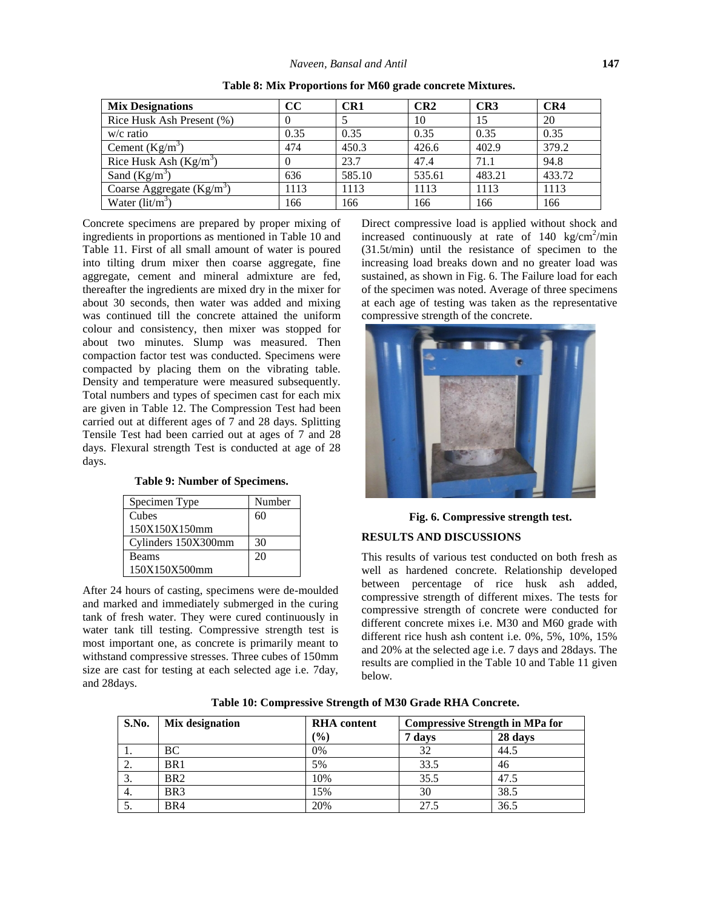| <b>Mix Designations</b>                            | cc   | CR1    | CR <sub>2</sub> | CR <sub>3</sub> | CR4    |
|----------------------------------------------------|------|--------|-----------------|-----------------|--------|
| Rice Husk Ash Present (%)                          |      |        | 10              | 15              | 20     |
| $w/c$ ratio                                        | 0.35 | 0.35   | 0.35            | 0.35            | 0.35   |
| Cement $(Kg/m^3)$                                  | 474  | 450.3  | 426.6           | 402.9           | 379.2  |
| Rice Husk Ash $(Kg/m^3)$                           |      | 23.7   | 47.4            | 71.1            | 94.8   |
| Sand $(Kg/m^3)$                                    | 636  | 585.10 | 535.61          | 483.21          | 433.72 |
| Coarse Aggregate $(Kg/m^3)$                        | 1113 | 1113   | 1113            | 1113            | 1113   |
| Water $\left(\frac{\text{lit}}{\text{m}^3}\right)$ | 166  | 166    | 166             | 166             | 166    |

**Table 8: Mix Proportions for M60 grade concrete Mixtures.**

Concrete specimens are prepared by proper mixing of ingredients in proportions as mentioned in Table 10 and Table 11. First of all small amount of water is poured into tilting drum mixer then coarse aggregate, fine aggregate, cement and mineral admixture are fed, thereafter the ingredients are mixed dry in the mixer for about 30 seconds, then water was added and mixing was continued till the concrete attained the uniform colour and consistency, then mixer was stopped for about two minutes. Slump was measured. Then compaction factor test was conducted. Specimens were compacted by placing them on the vibrating table. Density and temperature were measured subsequently. Total numbers and types of specimen cast for each mix are given in Table 12. The Compression Test had been carried out at different ages of 7 and 28 days. Splitting Tensile Test had been carried out at ages of 7 and 28 days. Flexural strength Test is conducted at age of 28 days.

**Table 9: Number of Specimens.**

| Specimen Type       | Number |  |
|---------------------|--------|--|
| Cubes               | 60     |  |
| 150X150X150mm       |        |  |
| Cylinders 150X300mm | 30     |  |
| <b>Beams</b>        | 20     |  |
| 150X150X500mm       |        |  |

After 24 hours of casting, specimens were de-moulded and marked and immediately submerged in the curing tank of fresh water. They were cured continuously in water tank till testing. Compressive strength test is most important one, as concrete is primarily meant to withstand compressive stresses. Three cubes of 150mm size are cast for testing at each selected age i.e. 7day, and 28days.

Direct compressive load is applied without shock and increased continuously at rate of  $140 \text{ kg/cm}^2/\text{min}$ (31.5t/min) until the resistance of specimen to the increasing load breaks down and no greater load was sustained, as shown in Fig. 6. The Failure load for each of the specimen was noted. Average of three specimens at each age of testing was taken as the representative compressive strength of the concrete.



**Fig. 6. Compressive strength test.**

# **RESULTS AND DISCUSSIONS**

This results of various test conducted on both fresh as well as hardened concrete. Relationship developed between percentage of rice husk ash added, compressive strength of different mixes. The tests for compressive strength of concrete were conducted for different concrete mixes i.e. M30 and M60 grade with different rice hush ash content i.e. 0%, 5%, 10%, 15% and 20% at the selected age i.e. 7 days and 28days. The results are complied in the Table 10 and Table 11 given below.

| S.No. | Mix designation | <b>RHA</b> content | <b>Compressive Strength in MPa for</b> |         |  |
|-------|-----------------|--------------------|----------------------------------------|---------|--|
|       |                 | $(\%)$             | 7 days                                 | 28 days |  |
| .,    | BC              | $0\%$              | 32                                     | 44.5    |  |
| 2.    | BR <sub>1</sub> | 5%                 | 33.5                                   | 46      |  |
| 3.    | BR <sub>2</sub> | 10%                | 35.5                                   | 47.5    |  |
| -4.   | BR <sub>3</sub> | 15%                | 30                                     | 38.5    |  |
| J.    | BR4             | 20%                | 27.5                                   | 36.5    |  |

**Table 10: Compressive Strength of M30 Grade RHA Concrete.**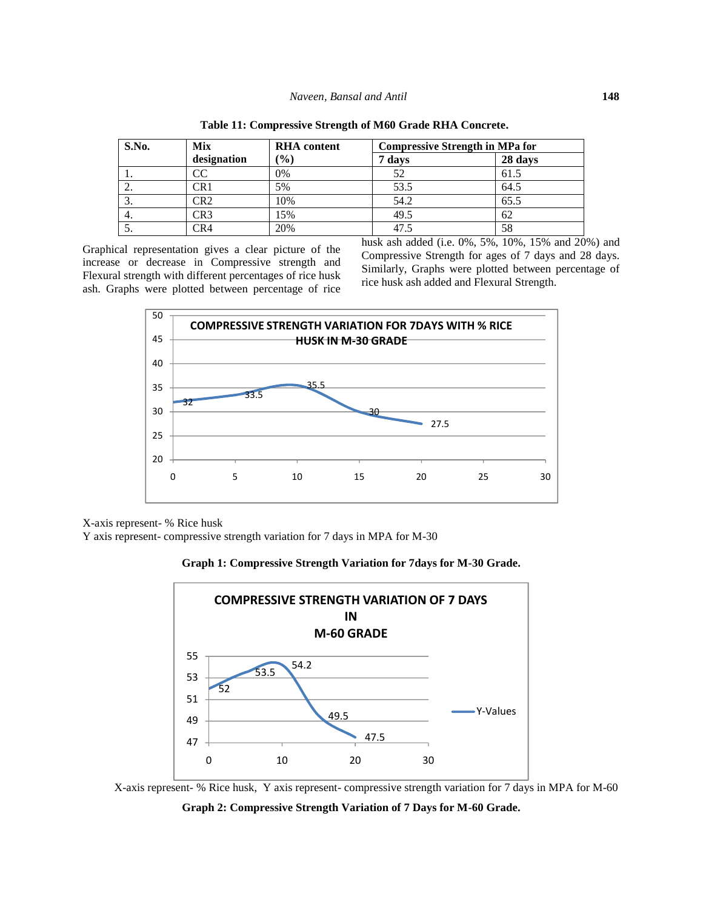| S.No.    | Mix             | <b>RHA</b> content | <b>Compressive Strength in MPa for</b> |         |
|----------|-----------------|--------------------|----------------------------------------|---------|
|          | designation     | $\frac{1}{2}$      | 7 days                                 | 28 days |
|          | CC              | 0%                 | 52                                     | 61.5    |
| <u>.</u> | CR1             | 5%                 | 53.5                                   | 64.5    |
|          | CR2             | 10%                | 54.2                                   | 65.5    |
| 4.       | CR <sub>3</sub> | 15%                | 49.5                                   | 62      |
|          | CR4             | 20%                | 47.5                                   | 58      |

**Table 11: Compressive Strength of M60 Grade RHA Concrete.**

Graphical representation gives a clear picture of the increase or decrease in Compressive strength and Flexural strength with different percentages of rice husk ash. Graphs were plotted between percentage of rice husk ash added (i.e. 0%, 5%, 10%, 15% and 20%) and Compressive Strength for ages of 7 days and 28 days. Similarly, Graphs were plotted between percentage of rice husk ash added and Flexural Strength.



X-axis represent- % Rice husk

Y axis represent- compressive strength variation for 7 days in MPA for M-30

**Graph 1: Compressive Strength Variation for 7days for M-30 Grade.**



X-axis represent- % Rice husk, Y axis represent- compressive strength variation for 7 days in MPA for M-60

**Graph 2: Compressive Strength Variation of 7 Days for M-60 Grade.**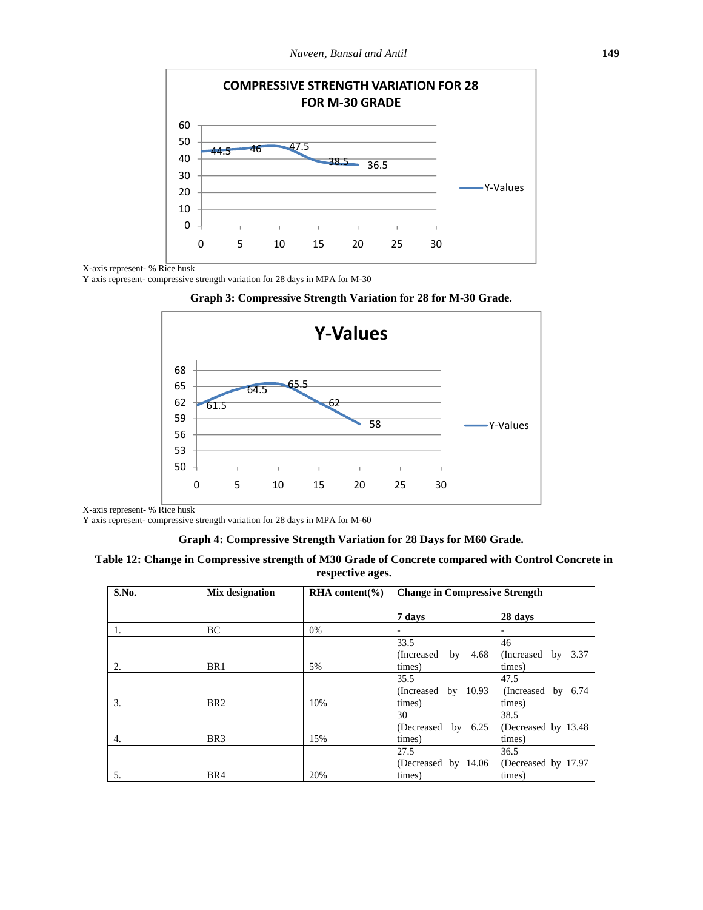

X-axis represent- % Rice husk

Y axis represent- compressive strength variation for 28 days in MPA for M-30





X-axis represent- % Rice husk

Y axis represent- compressive strength variation for 28 days in MPA for M-60

## **Graph 4: Compressive Strength Variation for 28 Days for M60 Grade.**

| Table 12: Change in Compressive strength of M30 Grade of Concrete compared with Control Concrete in |  |
|-----------------------------------------------------------------------------------------------------|--|
| respective ages.                                                                                    |  |

| S.No. | Mix designation | RHA content( $\%$ ) | <b>Change in Compressive Strength</b>    |                                          |
|-------|-----------------|---------------------|------------------------------------------|------------------------------------------|
|       |                 |                     | 7 days                                   | 28 days                                  |
| 1.    | BC.             | 0%                  |                                          |                                          |
| 2.    | BR1             | 5%                  | 33.5<br>(Increased by $4.68$ )<br>times) | 46<br>(Increased by 3.37)<br>times)      |
| 3.    | BR <sub>2</sub> | 10%                 | 35.5<br>(Increasing by 10.93)<br>times)  | 47.5<br>(Increased by $6.74$ )<br>times) |
| 4.    | BR <sub>3</sub> | 15%                 | 30<br>(Decreased by $6.25$ )<br>times)   | 38.5<br>(Decreased by 13.48)<br>times)   |
| 5.    | BR4             | 20%                 | 27.5<br>(Decreased by 14.06<br>times)    | 36.5<br>(Decreased by 17.97)<br>times)   |